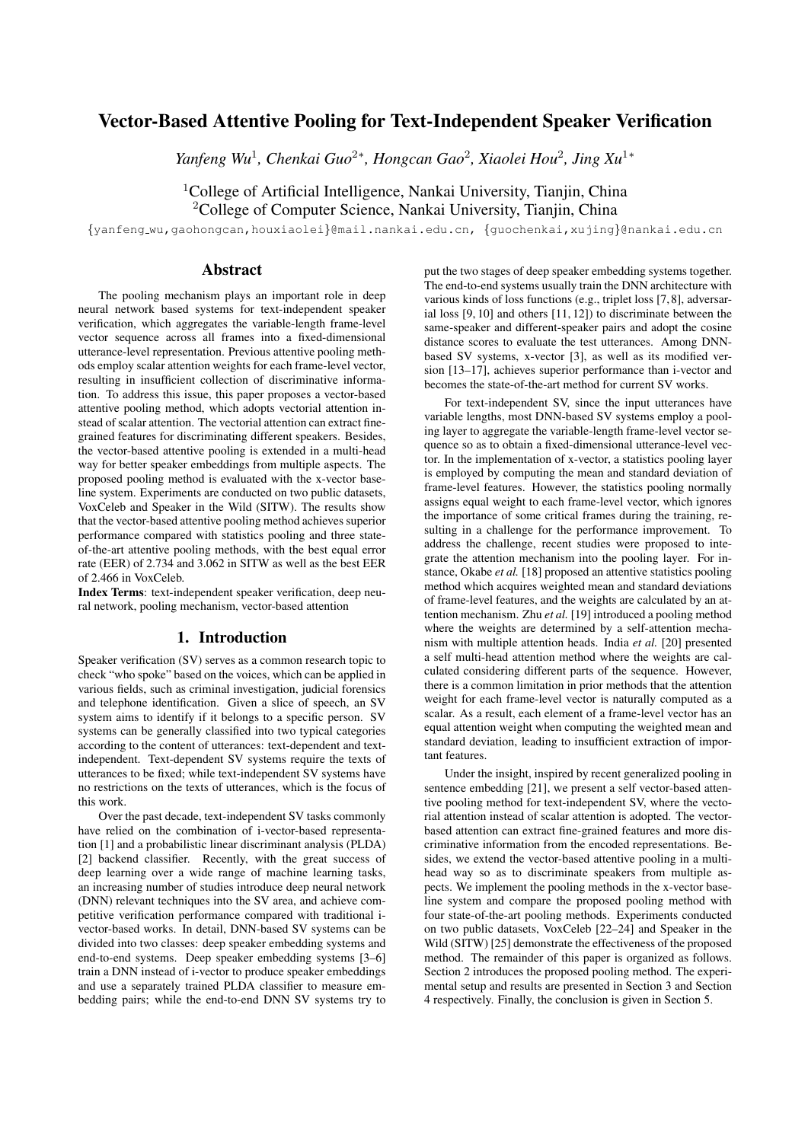# Vector-Based Attentive Pooling for Text-Independent Speaker Verification

*Yanfeng Wu<sup>1</sup>, Chenkai Guo<sup>2</sup>\*, Hongcan Gao<sup>2</sup>, Xiaolei Hou<sup>2</sup>, Jing Xu<sup>1</sup><sup>∗</sup>* 

<sup>1</sup>College of Artificial Intelligence, Nankai University, Tianjin, China <sup>2</sup>College of Computer Science, Nankai University, Tianjin, China

{yanfeng wu,gaohongcan,houxiaolei}@mail.nankai.edu.cn, {guochenkai,xujing}@nankai.edu.cn

# Abstract

The pooling mechanism plays an important role in deep neural network based systems for text-independent speaker verification, which aggregates the variable-length frame-level vector sequence across all frames into a fixed-dimensional utterance-level representation. Previous attentive pooling methods employ scalar attention weights for each frame-level vector, resulting in insufficient collection of discriminative information. To address this issue, this paper proposes a vector-based attentive pooling method, which adopts vectorial attention instead of scalar attention. The vectorial attention can extract finegrained features for discriminating different speakers. Besides, the vector-based attentive pooling is extended in a multi-head way for better speaker embeddings from multiple aspects. The proposed pooling method is evaluated with the x-vector baseline system. Experiments are conducted on two public datasets, VoxCeleb and Speaker in the Wild (SITW). The results show that the vector-based attentive pooling method achieves superior performance compared with statistics pooling and three stateof-the-art attentive pooling methods, with the best equal error rate (EER) of 2.734 and 3.062 in SITW as well as the best EER of 2.466 in VoxCeleb.

Index Terms: text-independent speaker verification, deep neural network, pooling mechanism, vector-based attention

# 1. Introduction

Speaker verification (SV) serves as a common research topic to check "who spoke" based on the voices, which can be applied in various fields, such as criminal investigation, judicial forensics and telephone identification. Given a slice of speech, an SV system aims to identify if it belongs to a specific person. SV systems can be generally classified into two typical categories according to the content of utterances: text-dependent and textindependent. Text-dependent SV systems require the texts of utterances to be fixed; while text-independent SV systems have no restrictions on the texts of utterances, which is the focus of this work.

Over the past decade, text-independent SV tasks commonly have relied on the combination of i-vector-based representation [1] and a probabilistic linear discriminant analysis (PLDA) [2] backend classifier. Recently, with the great success of deep learning over a wide range of machine learning tasks, an increasing number of studies introduce deep neural network (DNN) relevant techniques into the SV area, and achieve competitive verification performance compared with traditional ivector-based works. In detail, DNN-based SV systems can be divided into two classes: deep speaker embedding systems and end-to-end systems. Deep speaker embedding systems [3–6] train a DNN instead of i-vector to produce speaker embeddings and use a separately trained PLDA classifier to measure embedding pairs; while the end-to-end DNN SV systems try to put the two stages of deep speaker embedding systems together. The end-to-end systems usually train the DNN architecture with various kinds of loss functions (e.g., triplet loss [7, 8], adversarial loss [9, 10] and others [11, 12]) to discriminate between the same-speaker and different-speaker pairs and adopt the cosine distance scores to evaluate the test utterances. Among DNNbased SV systems, x-vector [3], as well as its modified version [13–17], achieves superior performance than i-vector and becomes the state-of-the-art method for current SV works.

For text-independent SV, since the input utterances have variable lengths, most DNN-based SV systems employ a pooling layer to aggregate the variable-length frame-level vector sequence so as to obtain a fixed-dimensional utterance-level vector. In the implementation of x-vector, a statistics pooling layer is employed by computing the mean and standard deviation of frame-level features. However, the statistics pooling normally assigns equal weight to each frame-level vector, which ignores the importance of some critical frames during the training, resulting in a challenge for the performance improvement. To address the challenge, recent studies were proposed to integrate the attention mechanism into the pooling layer. For instance, Okabe *et al.* [18] proposed an attentive statistics pooling method which acquires weighted mean and standard deviations of frame-level features, and the weights are calculated by an attention mechanism. Zhu *et al.* [19] introduced a pooling method where the weights are determined by a self-attention mechanism with multiple attention heads. India *et al.* [20] presented a self multi-head attention method where the weights are calculated considering different parts of the sequence. However, there is a common limitation in prior methods that the attention weight for each frame-level vector is naturally computed as a scalar. As a result, each element of a frame-level vector has an equal attention weight when computing the weighted mean and standard deviation, leading to insufficient extraction of important features.

Under the insight, inspired by recent generalized pooling in sentence embedding [21], we present a self vector-based attentive pooling method for text-independent SV, where the vectorial attention instead of scalar attention is adopted. The vectorbased attention can extract fine-grained features and more discriminative information from the encoded representations. Besides, we extend the vector-based attentive pooling in a multihead way so as to discriminate speakers from multiple aspects. We implement the pooling methods in the x-vector baseline system and compare the proposed pooling method with four state-of-the-art pooling methods. Experiments conducted on two public datasets, VoxCeleb [22–24] and Speaker in the Wild (SITW) [25] demonstrate the effectiveness of the proposed method. The remainder of this paper is organized as follows. Section 2 introduces the proposed pooling method. The experimental setup and results are presented in Section 3 and Section 4 respectively. Finally, the conclusion is given in Section 5.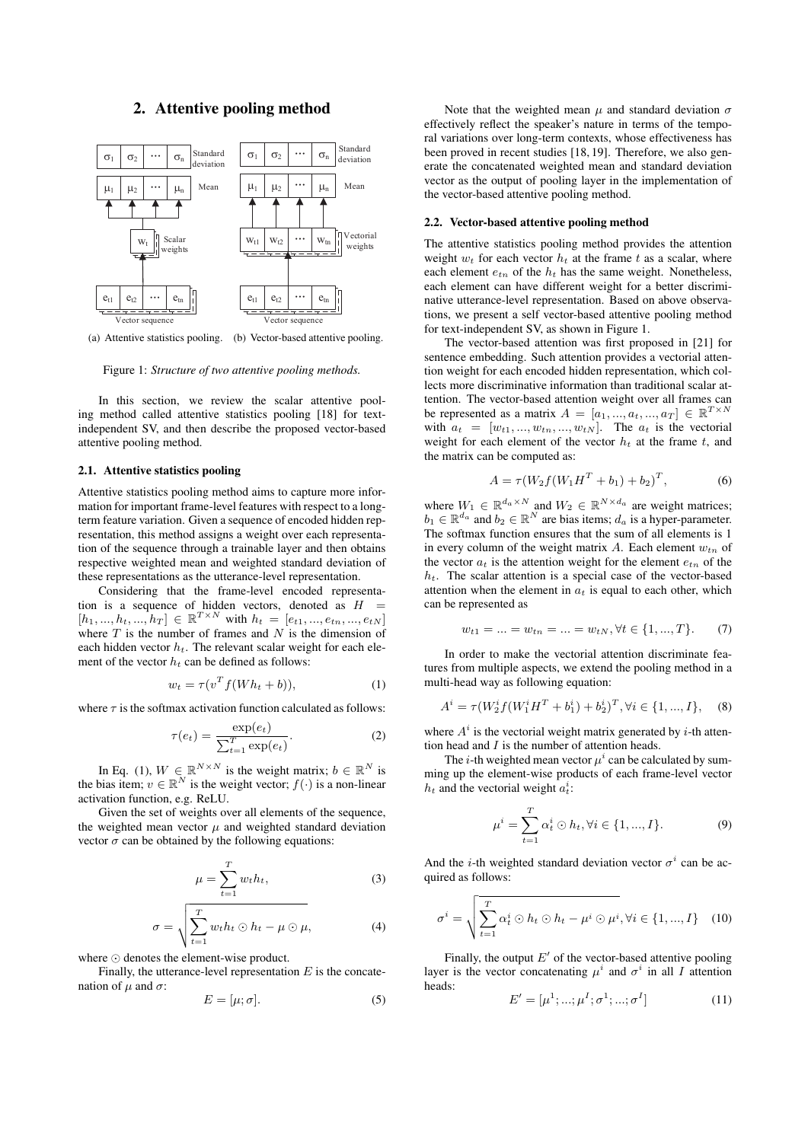# 2. Attentive pooling method



(a) Attentive statistics pooling. (b) Vector-based attentive pooling.

Figure 1: *Structure of two attentive pooling methods.*

In this section, we review the scalar attentive pooling method called attentive statistics pooling [18] for textindependent SV, and then describe the proposed vector-based attentive pooling method.

#### 2.1. Attentive statistics pooling

Attentive statistics pooling method aims to capture more information for important frame-level features with respect to a longterm feature variation. Given a sequence of encoded hidden representation, this method assigns a weight over each representation of the sequence through a trainable layer and then obtains respective weighted mean and weighted standard deviation of these representations as the utterance-level representation.

Considering that the frame-level encoded representation is a sequence of hidden vectors, denoted as  $H =$  $[h_1, ..., h_t, ..., h_T] \in \mathbb{R}^{T \times N}$  with  $h_t = [e_{t1}, ..., e_{tn}, ..., e_{tN}]$ where  $T$  is the number of frames and  $N$  is the dimension of each hidden vector  $h_t$ . The relevant scalar weight for each element of the vector  $h_t$  can be defined as follows:

$$
w_t = \tau(v^T f(Wh_t + b)), \tag{1}
$$

where  $\tau$  is the softmax activation function calculated as follows:

$$
\tau(e_t) = \frac{\exp(e_t)}{\sum_{t=1}^T \exp(e_t)}.
$$
\n(2)

In Eq. (1),  $W \in \mathbb{R}^{N \times N}$  is the weight matrix;  $b \in \mathbb{R}^{N}$  is the bias item;  $v \in \mathbb{R}^N$  is the weight vector;  $f(\cdot)$  is a non-linear activation function, e.g. ReLU.

Given the set of weights over all elements of the sequence, the weighted mean vector  $\mu$  and weighted standard deviation vector  $\sigma$  can be obtained by the following equations:

$$
\mu = \sum_{t=1}^{T} w_t h_t,\tag{3}
$$

$$
\sigma = \sqrt{\sum_{t=1}^{T} w_t h_t \odot h_t - \mu \odot \mu}, \tag{4}
$$

where  $\odot$  denotes the element-wise product.

Finally, the utterance-level representation  $E$  is the concatenation of  $\mu$  and  $\sigma$ :

$$
E = [\mu; \sigma]. \tag{5}
$$

Note that the weighted mean  $\mu$  and standard deviation  $\sigma$ effectively reflect the speaker's nature in terms of the temporal variations over long-term contexts, whose effectiveness has been proved in recent studies [18, 19]. Therefore, we also generate the concatenated weighted mean and standard deviation vector as the output of pooling layer in the implementation of the vector-based attentive pooling method.

#### 2.2. Vector-based attentive pooling method

The attentive statistics pooling method provides the attention weight  $w_t$  for each vector  $h_t$  at the frame t as a scalar, where each element  $e_{tn}$  of the  $h_t$  has the same weight. Nonetheless, each element can have different weight for a better discriminative utterance-level representation. Based on above observations, we present a self vector-based attentive pooling method for text-independent SV, as shown in Figure 1.

The vector-based attention was first proposed in [21] for sentence embedding. Such attention provides a vectorial attention weight for each encoded hidden representation, which collects more discriminative information than traditional scalar attention. The vector-based attention weight over all frames can be represented as a matrix  $A = [a_1, ..., a_t, ..., a_T] \in \mathbb{R}^{T \times N}$ with  $a_t = [w_{t1}, ..., w_{tn}, ..., w_{tN}]$ . The  $a_t$  is the vectorial weight for each element of the vector  $h_t$  at the frame t, and the matrix can be computed as:

$$
A = \tau (W_2 f (W_1 H^T + b_1) + b_2)^T, \tag{6}
$$

where  $W_1 \in \mathbb{R}^{d_a \times N}$  and  $W_2 \in \mathbb{R}^{N \times d_a}$  are weight matrices;  $b_1 \in \mathbb{R}^{d_a}$  and  $b_2 \in \mathbb{R}^N$  are bias items;  $d_a$  is a hyper-parameter. The softmax function ensures that the sum of all elements is 1 in every column of the weight matrix A. Each element  $w_{tn}$  of the vector  $a_t$  is the attention weight for the element  $e_{tn}$  of the  $h_t$ . The scalar attention is a special case of the vector-based attention when the element in  $a_t$  is equal to each other, which can be represented as

$$
w_{t1} = \dots = w_{tn} = \dots = w_{tN}, \forall t \in \{1, ..., T\}.
$$
 (7)

In order to make the vectorial attention discriminate features from multiple aspects, we extend the pooling method in a multi-head way as following equation:

$$
A^{i} = \tau(W_{2}^{i} f(W_{1}^{i} H^{T} + b_{1}^{i}) + b_{2}^{i})^{T}, \forall i \in \{1, ..., I\},
$$
 (8)

where  $A^i$  is the vectorial weight matrix generated by *i*-th attention head and  $I$  is the number of attention heads.

The *i*-th weighted mean vector  $\mu^{i}$  can be calculated by summing up the element-wise products of each frame-level vector  $h_t$  and the vectorial weight  $a_t^i$ :

$$
\mu^{i} = \sum_{t=1}^{T} \alpha_{t}^{i} \odot h_{t}, \forall i \in \{1, ..., I\}.
$$
 (9)

And the *i*-th weighted standard deviation vector  $\sigma^i$  can be acquired as follows:

$$
\sigma^{i} = \sqrt{\sum_{t=1}^{T} \alpha_{t}^{i} \odot h_{t} \odot h_{t} - \mu^{i} \odot \mu^{i}}, \forall i \in \{1, ..., I\} \quad (10)
$$

Finally, the output  $E'$  of the vector-based attentive pooling layer is the vector concatenating  $\mu^i$  and  $\sigma^i$  in all I attention heads:

$$
E' = [\mu^1; \dots; \mu^I; \sigma^1; \dots; \sigma^I]
$$
 (11)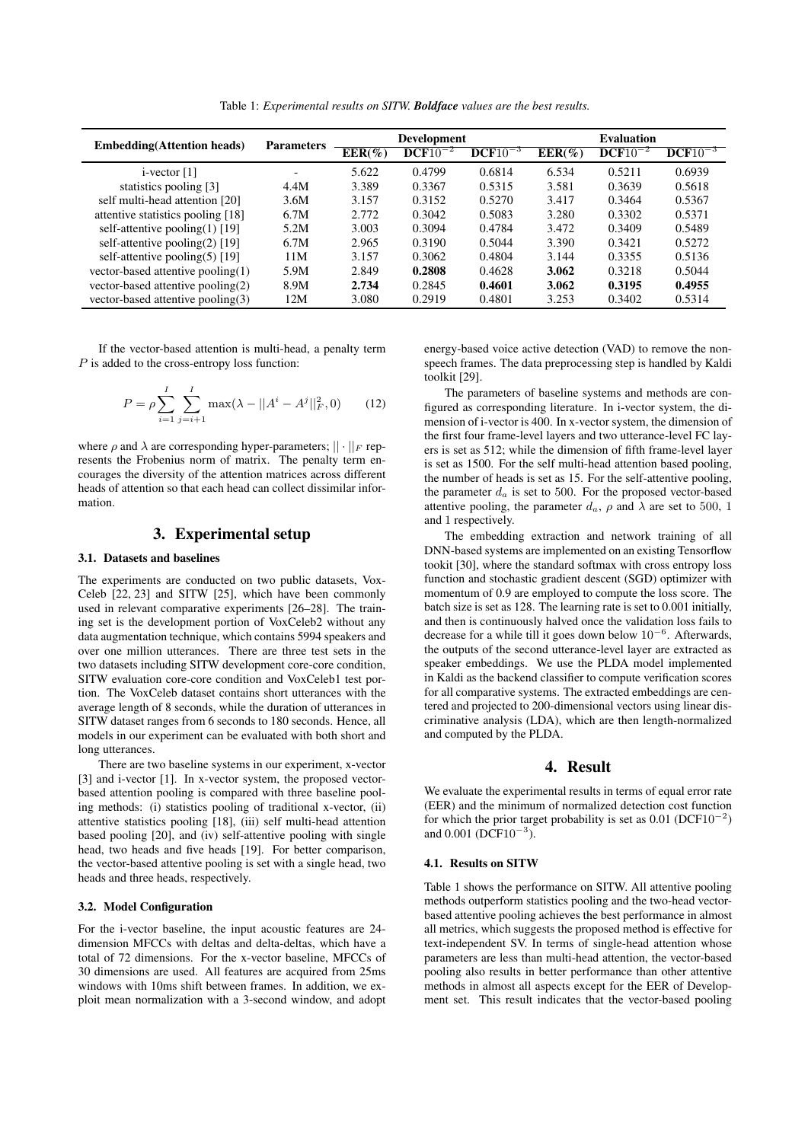Table 1: *Experimental results on SITW. Boldface values are the best results.*

| <b>Embedding</b> (Attention heads) | <b>Parameters</b> | <b>Development</b> |              |              | <b>Evaluation</b> |              |              |  |
|------------------------------------|-------------------|--------------------|--------------|--------------|-------------------|--------------|--------------|--|
|                                    |                   | $EER(\%)$          | $DCF10^{-2}$ | $DCF10^{-3}$ | $EER(\%)$         | $DCF10^{-2}$ | $DCF10^{-3}$ |  |
| $i$ -vector [1]                    |                   | 5.622              | 0.4799       | 0.6814       | 6.534             | 0.5211       | 0.6939       |  |
| statistics pooling [3]             | 4.4M              | 3.389              | 0.3367       | 0.5315       | 3.581             | 0.3639       | 0.5618       |  |
| self multi-head attention [20]     | 3.6M              | 3.157              | 0.3152       | 0.5270       | 3.417             | 0.3464       | 0.5367       |  |
| attentive statistics pooling [18]  | 6.7M              | 2.772              | 0.3042       | 0.5083       | 3.280             | 0.3302       | 0.5371       |  |
| self-attentive pooling $(1)$ [19]  | 5.2M              | 3.003              | 0.3094       | 0.4784       | 3.472             | 0.3409       | 0.5489       |  |
| self-attentive pooling(2) [19]     | 6.7M              | 2.965              | 0.3190       | 0.5044       | 3.390             | 0.3421       | 0.5272       |  |
| self-attentive pooling(5) [19]     | 11M               | 3.157              | 0.3062       | 0.4804       | 3.144             | 0.3355       | 0.5136       |  |
| vector-based attentive pooling(1)  | 5.9M              | 2.849              | 0.2808       | 0.4628       | 3.062             | 0.3218       | 0.5044       |  |
| vector-based attentive pooling(2)  | 8.9M              | 2.734              | 0.2845       | 0.4601       | 3.062             | 0.3195       | 0.4955       |  |
| vector-based attentive pooling(3)  | 12M               | 3.080              | 0.2919       | 0.4801       | 3.253             | 0.3402       | 0.5314       |  |

If the vector-based attention is multi-head, a penalty term P is added to the cross-entropy loss function:

$$
P = \rho \sum_{i=1}^{I} \sum_{j=i+1}^{I} \max(\lambda - ||A^{i} - A^{j}||_{F}^{2}, 0)
$$
 (12)

where  $\rho$  and  $\lambda$  are corresponding hyper-parameters;  $|| \cdot ||_F$  represents the Frobenius norm of matrix. The penalty term encourages the diversity of the attention matrices across different heads of attention so that each head can collect dissimilar information.

# 3. Experimental setup

#### 3.1. Datasets and baselines

The experiments are conducted on two public datasets, Vox-Celeb [22, 23] and SITW [25], which have been commonly used in relevant comparative experiments [26–28]. The training set is the development portion of VoxCeleb2 without any data augmentation technique, which contains 5994 speakers and over one million utterances. There are three test sets in the two datasets including SITW development core-core condition, SITW evaluation core-core condition and VoxCeleb1 test portion. The VoxCeleb dataset contains short utterances with the average length of 8 seconds, while the duration of utterances in SITW dataset ranges from 6 seconds to 180 seconds. Hence, all models in our experiment can be evaluated with both short and long utterances.

There are two baseline systems in our experiment, x-vector [3] and i-vector [1]. In x-vector system, the proposed vectorbased attention pooling is compared with three baseline pooling methods: (i) statistics pooling of traditional x-vector, (ii) attentive statistics pooling [18], (iii) self multi-head attention based pooling [20], and (iv) self-attentive pooling with single head, two heads and five heads [19]. For better comparison, the vector-based attentive pooling is set with a single head, two heads and three heads, respectively.

#### 3.2. Model Configuration

For the i-vector baseline, the input acoustic features are 24 dimension MFCCs with deltas and delta-deltas, which have a total of 72 dimensions. For the x-vector baseline, MFCCs of 30 dimensions are used. All features are acquired from 25ms windows with 10ms shift between frames. In addition, we exploit mean normalization with a 3-second window, and adopt energy-based voice active detection (VAD) to remove the nonspeech frames. The data preprocessing step is handled by Kaldi toolkit [29].

The parameters of baseline systems and methods are configured as corresponding literature. In i-vector system, the dimension of i-vector is 400. In x-vector system, the dimension of the first four frame-level layers and two utterance-level FC layers is set as 512; while the dimension of fifth frame-level layer is set as 1500. For the self multi-head attention based pooling, the number of heads is set as 15. For the self-attentive pooling, the parameter  $d_a$  is set to 500. For the proposed vector-based attentive pooling, the parameter  $d_a$ ,  $\rho$  and  $\lambda$  are set to 500, 1 and 1 respectively.

The embedding extraction and network training of all DNN-based systems are implemented on an existing Tensorflow tookit [30], where the standard softmax with cross entropy loss function and stochastic gradient descent (SGD) optimizer with momentum of 0.9 are employed to compute the loss score. The batch size is set as 128. The learning rate is set to 0.001 initially, and then is continuously halved once the validation loss fails to decrease for a while till it goes down below  $10^{-6}$ . Afterwards, the outputs of the second utterance-level layer are extracted as speaker embeddings. We use the PLDA model implemented in Kaldi as the backend classifier to compute verification scores for all comparative systems. The extracted embeddings are centered and projected to 200-dimensional vectors using linear discriminative analysis (LDA), which are then length-normalized and computed by the PLDA.

# 4. Result

We evaluate the experimental results in terms of equal error rate (EER) and the minimum of normalized detection cost function for which the prior target probability is set as  $0.01$  (DCF10<sup>-2</sup>) and  $0.001$  (DCF10<sup>-3</sup>).

#### 4.1. Results on SITW

Table 1 shows the performance on SITW. All attentive pooling methods outperform statistics pooling and the two-head vectorbased attentive pooling achieves the best performance in almost all metrics, which suggests the proposed method is effective for text-independent SV. In terms of single-head attention whose parameters are less than multi-head attention, the vector-based pooling also results in better performance than other attentive methods in almost all aspects except for the EER of Development set. This result indicates that the vector-based pooling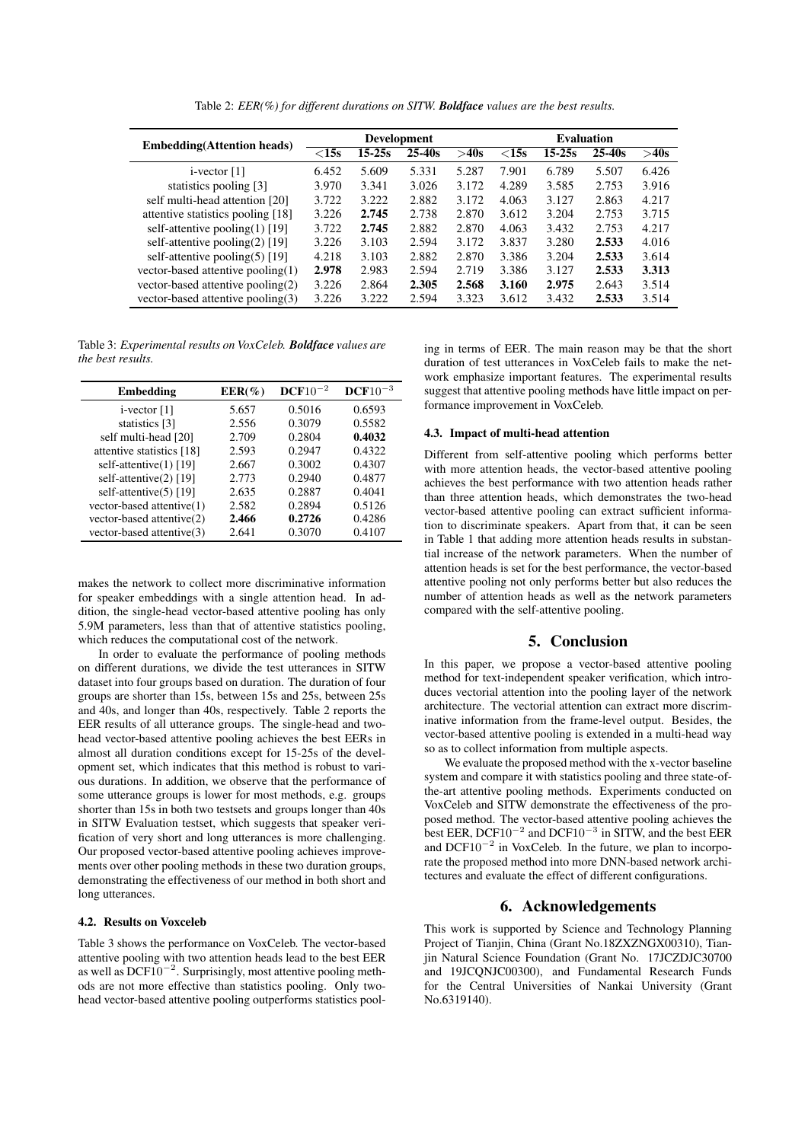Table 2: *EER(%) for different durations on SITW. Boldface values are the best results.*

| <b>Embedding</b> (Attention heads) | <b>Development</b> |        |            |       | <b>Evaluation</b> |            |            |       |
|------------------------------------|--------------------|--------|------------|-------|-------------------|------------|------------|-------|
|                                    | $<$ 15s            | 15-25s | $25 - 40s$ | >40s  | $<$ 15s           | $15 - 25s$ | $25 - 40s$ | >40s  |
| $i$ -vector [1]                    | 6.452              | 5.609  | 5.331      | 5.287 | 7.901             | 6.789      | 5.507      | 6.426 |
| statistics pooling [3]             | 3.970              | 3.341  | 3.026      | 3.172 | 4.289             | 3.585      | 2.753      | 3.916 |
| self multi-head attention [20]     | 3.722              | 3.222  | 2.882      | 3.172 | 4.063             | 3.127      | 2.863      | 4.217 |
| attentive statistics pooling [18]  | 3.226              | 2.745  | 2.738      | 2.870 | 3.612             | 3.204      | 2.753      | 3.715 |
| self-attentive pooling $(1)$ [19]  | 3.722              | 2.745  | 2.882      | 2.870 | 4.063             | 3.432      | 2.753      | 4.217 |
| self-attentive pooling $(2)$ [19]  | 3.226              | 3.103  | 2.594      | 3.172 | 3.837             | 3.280      | 2.533      | 4.016 |
| self-attentive pooling $(5)$ [19]  | 4.218              | 3.103  | 2.882      | 2.870 | 3.386             | 3.204      | 2.533      | 3.614 |
| vector-based attentive pooling(1)  | 2.978              | 2.983  | 2.594      | 2.719 | 3.386             | 3.127      | 2.533      | 3.313 |
| vector-based attentive pooling(2)  | 3.226              | 2.864  | 2.305      | 2.568 | 3.160             | 2.975      | 2.643      | 3.514 |
| vector-based attentive pooling(3)  | 3.226              | 3.222  | 2.594      | 3.323 | 3.612             | 3.432      | 2.533      | 3.514 |

Table 3: *Experimental results on VoxCeleb. Boldface values are the best results.*

| <b>Embedding</b>          | $EER(\%)$ | $DCF10^{-2}$ | $DCF10^{-3}$ |
|---------------------------|-----------|--------------|--------------|
| $i$ -vector [1]           | 5.657     | 0.5016       | 0.6593       |
| statistics [3]            | 2.556     | 0.3079       | 0.5582       |
| self multi-head [20]      | 2.709     | 0.2804       | 0.4032       |
| attentive statistics [18] | 2.593     | 0.2947       | 0.4322       |
| self-attentive $(1)$ [19] | 2.667     | 0.3002       | 0.4307       |
| self-attentive(2) [19]    | 2.773     | 0.2940       | 0.4877       |
| self-attentive $(5)$ [19] | 2.635     | 0.2887       | 0.4041       |
| vector-based attentive(1) | 2.582     | 0.2894       | 0.5126       |
| vector-based attentive(2) | 2.466     | 0.2726       | 0.4286       |
| vector-based attentive(3) | 2.641     | 0.3070       | 0.4107       |

makes the network to collect more discriminative information for speaker embeddings with a single attention head. In addition, the single-head vector-based attentive pooling has only 5.9M parameters, less than that of attentive statistics pooling, which reduces the computational cost of the network.

In order to evaluate the performance of pooling methods on different durations, we divide the test utterances in SITW dataset into four groups based on duration. The duration of four groups are shorter than 15s, between 15s and 25s, between 25s and 40s, and longer than 40s, respectively. Table 2 reports the EER results of all utterance groups. The single-head and twohead vector-based attentive pooling achieves the best EERs in almost all duration conditions except for 15-25s of the development set, which indicates that this method is robust to various durations. In addition, we observe that the performance of some utterance groups is lower for most methods, e.g. groups shorter than 15s in both two testsets and groups longer than 40s in SITW Evaluation testset, which suggests that speaker verification of very short and long utterances is more challenging. Our proposed vector-based attentive pooling achieves improvements over other pooling methods in these two duration groups, demonstrating the effectiveness of our method in both short and long utterances.

### 4.2. Results on Voxceleb

Table 3 shows the performance on VoxCeleb. The vector-based attentive pooling with two attention heads lead to the best EER as well as  $DCF10^{-2}$ . Surprisingly, most attentive pooling methods are not more effective than statistics pooling. Only twohead vector-based attentive pooling outperforms statistics pooling in terms of EER. The main reason may be that the short duration of test utterances in VoxCeleb fails to make the network emphasize important features. The experimental results suggest that attentive pooling methods have little impact on performance improvement in VoxCeleb.

#### 4.3. Impact of multi-head attention

Different from self-attentive pooling which performs better with more attention heads, the vector-based attentive pooling achieves the best performance with two attention heads rather than three attention heads, which demonstrates the two-head vector-based attentive pooling can extract sufficient information to discriminate speakers. Apart from that, it can be seen in Table 1 that adding more attention heads results in substantial increase of the network parameters. When the number of attention heads is set for the best performance, the vector-based attentive pooling not only performs better but also reduces the number of attention heads as well as the network parameters compared with the self-attentive pooling.

# 5. Conclusion

In this paper, we propose a vector-based attentive pooling method for text-independent speaker verification, which introduces vectorial attention into the pooling layer of the network architecture. The vectorial attention can extract more discriminative information from the frame-level output. Besides, the vector-based attentive pooling is extended in a multi-head way so as to collect information from multiple aspects.

We evaluate the proposed method with the x-vector baseline system and compare it with statistics pooling and three state-ofthe-art attentive pooling methods. Experiments conducted on VoxCeleb and SITW demonstrate the effectiveness of the proposed method. The vector-based attentive pooling achieves the best EER, DCF10<sup>-2</sup> and DCF10<sup>-3</sup> in SITW, and the best EER and  $DCF10^{-2}$  in VoxCeleb. In the future, we plan to incorporate the proposed method into more DNN-based network architectures and evaluate the effect of different configurations.

### 6. Acknowledgements

This work is supported by Science and Technology Planning Project of Tianjin, China (Grant No.18ZXZNGX00310), Tianjin Natural Science Foundation (Grant No. 17JCZDJC30700 and 19JCQNJC00300), and Fundamental Research Funds for the Central Universities of Nankai University (Grant No.6319140).